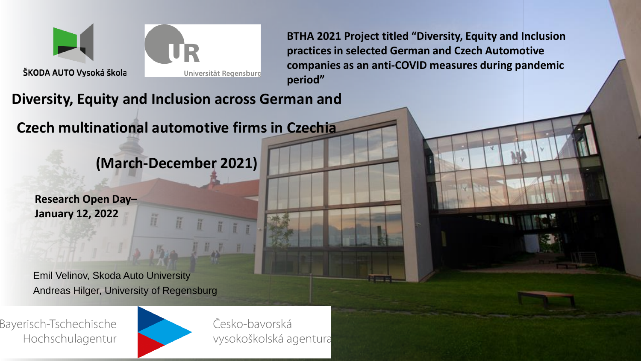

**BTHA 2021 Project titled "Diversity, Equity and Inclusion practices in selected German and Czech Automotive companies as an anti-COVID measures during pandemic period"**

**Diversity, Equity and Inclusion across German and** 

**Czech multinational automotive firms in Czechia**

**(March-December 2021)**

Ħ

**Research Open Day– January 12, 2022**

Emil Velinov, Skoda Auto University Andreas Hilger, University of Regensburg

Bayerisch-Tschechische Hochschulagentur



H

Česko-bavorská vysokoškolská agentura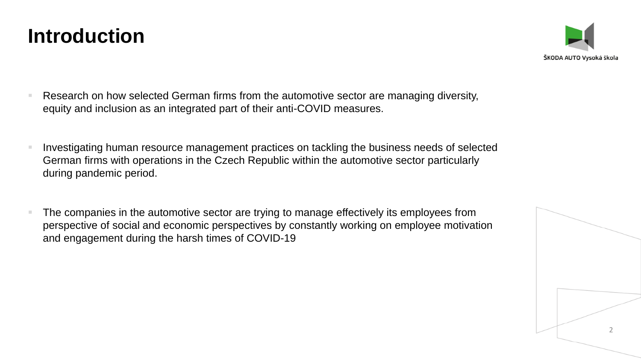

- Research on how selected German firms from the automotive sector are managing diversity, equity and inclusion as an integrated part of their anti-COVID measures.
- Investigating human resource management practices on tackling the business needs of selected German firms with operations in the Czech Republic within the automotive sector particularly during pandemic period.
- The companies in the automotive sector are trying to manage effectively its employees from perspective of social and economic perspectives by constantly working on employee motivation and engagement during the harsh times of COVID-19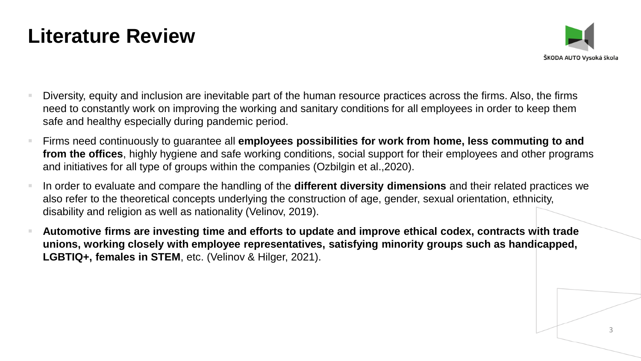#### **Literature Review**



- Diversity, equity and inclusion are inevitable part of the human resource practices across the firms. Also, the firms need to constantly work on improving the working and sanitary conditions for all employees in order to keep them safe and healthy especially during pandemic period.
- Firms need continuously to guarantee all **employees possibilities for work from home, less commuting to and from the offices**, highly hygiene and safe working conditions, social support for their employees and other programs and initiatives for all type of groups within the companies (Ozbilgin et al.,2020).
- In order to evaluate and compare the handling of the **different diversity dimensions** and their related practices we also refer to the theoretical concepts underlying the construction of age, gender, sexual orientation, ethnicity, disability and religion as well as nationality (Velinov, 2019).
- **Automotive firms are investing time and efforts to update and improve ethical codex, contracts with trade unions, working closely with employee representatives, satisfying minority groups such as handicapped, LGBTIQ+, females in STEM**, etc. (Velinov & Hilger, 2021).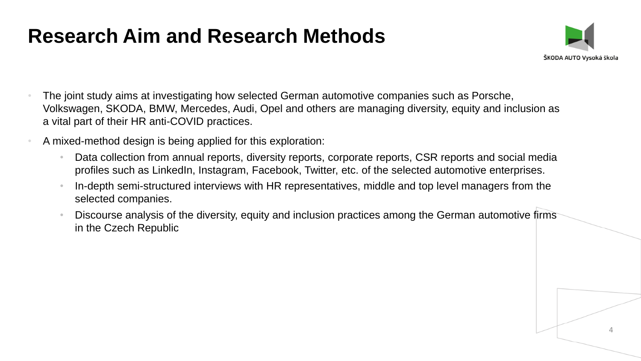#### **Research Aim and Research Methods**



- The joint study aims at investigating how selected German automotive companies such as Porsche, Volkswagen, SKODA, BMW, Mercedes, Audi, Opel and others are managing diversity, equity and inclusion as a vital part of their HR anti-COVID practices.
- A mixed-method design is being applied for this exploration:
	- Data collection from annual reports, diversity reports, corporate reports, CSR reports and social media profiles such as LinkedIn, Instagram, Facebook, Twitter, etc. of the selected automotive enterprises.
	- In-depth semi-structured interviews with HR representatives, middle and top level managers from the selected companies.
	- Discourse analysis of the diversity, equity and inclusion practices among the German automotive firms in the Czech Republic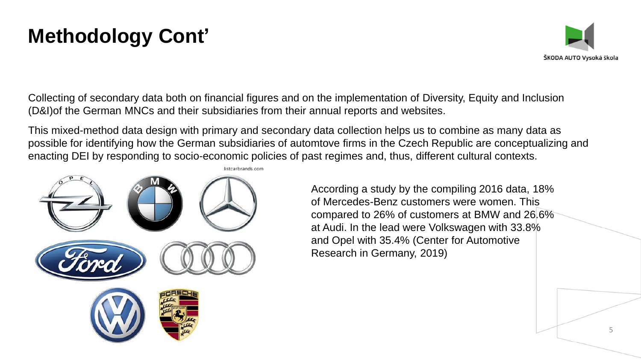## **Methodology Cont'**



Collecting of secondary data both on financial figures and on the implementation of Diversity, Equity and Inclusion (D&I)of the German MNCs and their subsidiaries from their annual reports and websites.

This mixed-method data design with primary and secondary data collection helps us to combine as many data as possible for identifying how the German subsidiaries of automtove firms in the Czech Republic are conceptualizing and enacting DEI by responding to socio-economic policies of past regimes and, thus, different cultural contexts.



According a study by the compiling 2016 data, 18% of Mercedes-Benz customers were women. This compared to 26% of customers at BMW and 26.6% at Audi. In the lead were Volkswagen with 33.8% and Opel with 35.4% (Center for Automotive Research in Germany, 2019)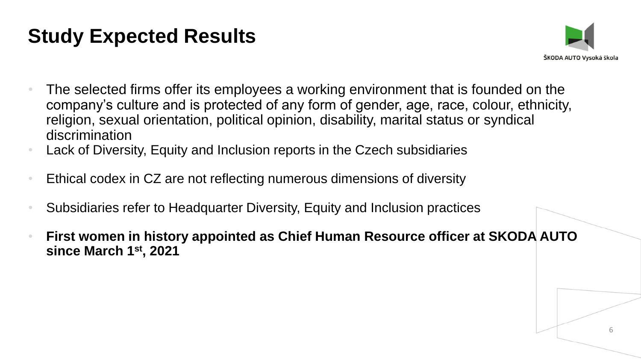## **Study Expected Results**



- The selected firms offer its employees a working environment that is founded on the company's culture and is protected of any form of gender, age, race, colour, ethnicity, religion, sexual orientation, political opinion, disability, marital status or syndical discrimination
- Lack of Diversity, Equity and Inclusion reports in the Czech subsidiaries
- Ethical codex in CZ are not reflecting numerous dimensions of diversity
- Subsidiaries refer to Headquarter Diversity, Equity and Inclusion practices
- **First women in history appointed as Chief Human Resource officer at SKODA AUTO since March 1st, 2021**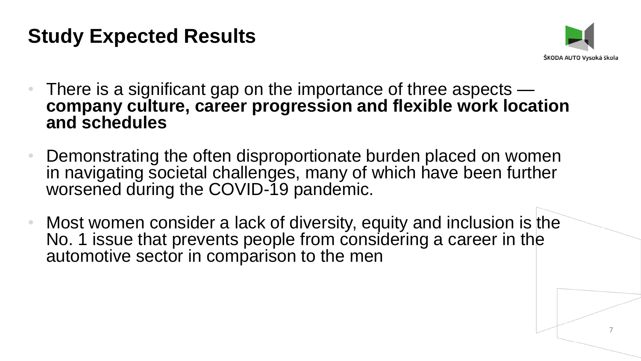### **Study Expected Results**



- There is a significant gap on the importance of three aspects **company culture, career progression and flexible work location and schedules**
- Demonstrating the often disproportionate burden placed on women in navigating societal challenges, many of which have been further worsened during the COVID-19 pandemic.
- Most women consider a lack of diversity, equity and inclusion is the No. 1 issue that prevents people from considering a career in the automotive sector in comparison to the men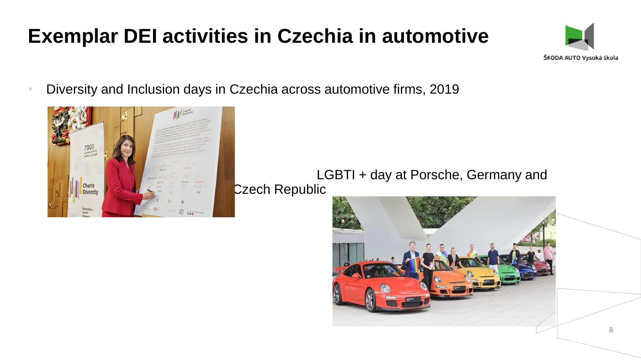# **Exemplar DEI activities in Czechia in automotive**



• Diversity and Inclusion days in Czechia across automotive firms, 2019



LGBTI + day at Porsche, Germany and Czech Republic

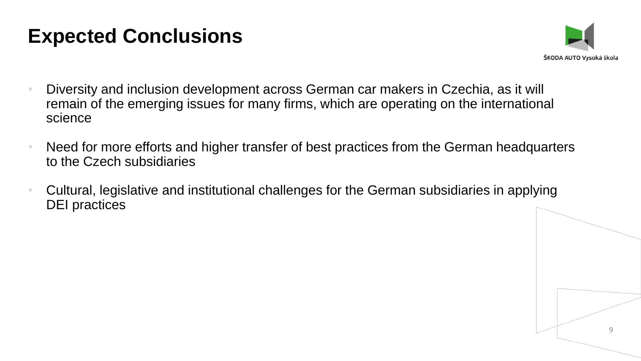#### **Expected Conclusions**



- Diversity and inclusion development across German car makers in Czechia, as it will remain of the emerging issues for many firms, which are operating on the international science
- Need for more efforts and higher transfer of best practices from the German headquarters to the Czech subsidiaries
- Cultural, legislative and institutional challenges for the German subsidiaries in applying DEI practices